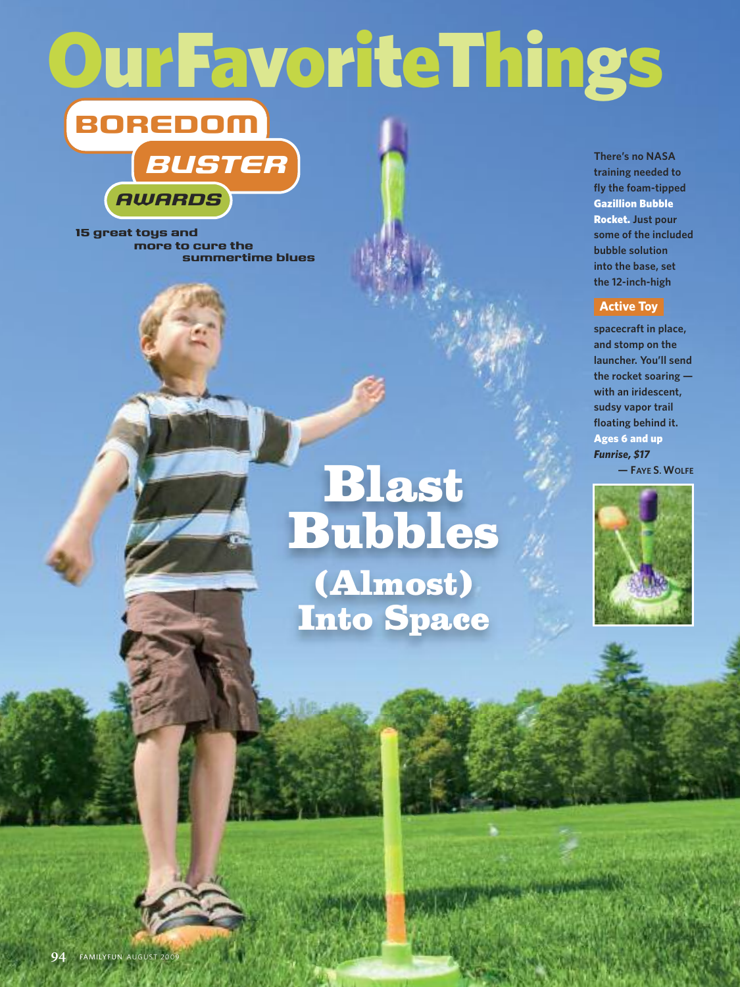# **OurFavoriteThings**



**15 great toys and more to cure the summertime blues**

# **Blast Bubbles (Almost) Into Space**

 $L$  all  $\sim$ 

**There's no NASA training needed to fly the foam-tipped Gazillion Bubble Rocket. Just pour some of the included bubble solution into the base, set the 12-inch-high**

### **Active Toy**

**spacecraft in place, and stomp on the launcher. You'll send the rocket soaring with an iridescent, sudsy vapor trail floating behind it. Ages 6 and up** *Funrise, \$17* **— FAYE S. WOLFE**